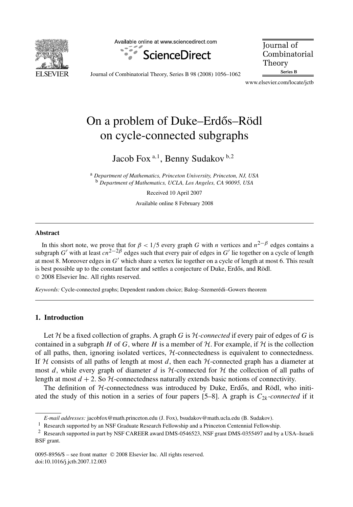

Available online at www.sciencedirect.com



**Journal** of Combinatorial Theory Series B

Journal of Combinatorial Theory, Series B 98 (2008) 1056–1062

www.elsevier.com/locate/jctb

# On a problem of Duke–Erdős–Rödl on cycle-connected subgraphs

Jacob Fox <sup>a</sup>*,*<sup>1</sup> , Benny Sudakov <sup>b</sup>*,*<sup>2</sup>

<sup>a</sup> *Department of Mathematics, Princeton University, Princeton, NJ, USA* <sup>b</sup> *Department of Mathematics, UCLA, Los Angeles, CA 90095, USA*

> Received 10 April 2007 Available online 8 February 2008

#### **Abstract**

In this short note, we prove that for  $\beta$  < 1/5 every graph *G* with *n* vertices and  $n^{2-\beta}$  edges contains a subgraph *G*' with at least *cn*<sup>2−2β</sup> edges such that every pair of edges in *G*' lie together on a cycle of length at most 8. Moreover edges in *G*<sup>'</sup> which share a vertex lie together on a cycle of length at most 6. This result is best possible up to the constant factor and settles a conjecture of Duke, Erdős, and Rödl. © 2008 Elsevier Inc. All rights reserved.

*Keywords:* Cycle-connected graphs; Dependent random choice; Balog–Szemerédi–Gowers theorem

## **1. Introduction**

Let  $H$  be a fixed collection of graphs. A graph *G* is  $H$ -connected if every pair of edges of *G* is contained in a subgraph *H* of *G*, where *H* is a member of  $H$ . For example, if  $H$  is the collection of all paths, then, ignoring isolated vertices,  $H$ -connectedness is equivalent to connectedness. If  $H$  consists of all paths of length at most  $d$ , then each  $H$ -connected graph has a diameter at most *d*, while every graph of diameter *d* is  $H$ -connected for  $H$  the collection of all paths of length at most  $d + 2$ . So  $H$ -connectedness naturally extends basic notions of connectivity.

The definition of  $H$ -connectedness was introduced by Duke, Erdős, and Rödl, who initiated the study of this notion in a series of four papers  $[5-8]$ . A graph is  $C_{2k}$ -*connected* if it

*E-mail addresses:* jacobfox@math.princeton.edu (J. Fox), bsudakov@math.ucla.edu (B. Sudakov).

<sup>&</sup>lt;sup>1</sup> Research supported by an NSF Graduate Research Fellowship and a Princeton Centennial Fellowship.

<sup>2</sup> Research supported in part by NSF CAREER award DMS-0546523, NSF grant DMS-0355497 and by a USA–Israeli BSF grant.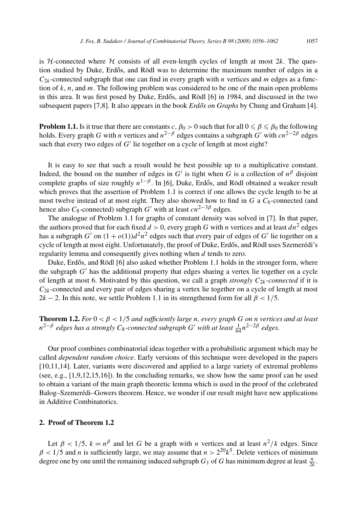is H-connected where  $H$  consists of all even-length cycles of length at most  $2k$ . The question studied by Duke, Erdős, and Rödl was to determine the maximum number of edges in a  $C_{2k}$ -connected subgraph that one can find in every graph with *n* vertices and *m* edges as a function of  $k$ ,  $n$ , and  $m$ . The following problem was considered to be one of the main open problems in this area. It was first posed by Duke, Erdős, and Rödl [6] in 1984, and discussed in the two subsequent papers [7,8]. It also appears in the book *Erdős on Graphs* by Chung and Graham [4].

**Problem 1.1.** Is it true that there are constants  $c$  ,  $\beta_0 > 0$  such that for all  $0 \le \beta \le \beta_0$  the following holds. Every graph *G* with *n* vertices and  $n^{2−β}$  edges contains a subgraph *G*<sup>'</sup> with  $cn^{2−2β}$  edges such that every two edges of  $G'$  lie together on a cycle of length at most eight?

It is easy to see that such a result would be best possible up to a multiplicative constant. Indeed, the bound on the number of edges in  $G'$  is tight when  $G$  is a collection of  $n^{\beta}$  disjoint complete graphs of size roughly  $n^{1-\beta}$ . In [6], Duke, Erdős, and Rödl obtained a weaker result which proves that the assertion of Problem 1.1 is correct if one allows the cycle length to be at most twelve instead of at most eight. They also showed how to find in *G* a  $C_6$ -connected (and hence also  $C_8$ -connected) subgraph  $G'$  with at least  $cn^{2-3\beta}$  edges.

The analogue of Problem 1.1 for graphs of constant density was solved in [7]. In that paper, the authors proved that for each fixed  $d > 0$ , every graph G with *n* vertices and at least  $dn^2$  edges has a subgraph  $G'$  on  $(1 + o(1))d^2n^2$  edges such that every pair of edges of  $G'$  lie together on a cycle of length at most eight. Unfortunately, the proof of Duke, Erdős, and Rödl uses Szemerédi's regularity lemma and consequently gives nothing when *d* tends to zero.

Duke, Erdős, and Rödl [6] also asked whether Problem 1.1 holds in the stronger form, where the subgraph *G'* has the additional property that edges sharing a vertex lie together on a cycle of length at most 6. Motivated by this question, we call a graph *strongly*  $C_{2k}$ *-connected* if it is  $C_{2k}$ -connected and every pair of edges sharing a vertex lie together on a cycle of length at most 2*k* − 2. In this note, we settle Problem 1.1 in its strengthened form for all  $\beta$  < 1/5.

**Theorem 1.2.** *For*  $0 < \beta < 1/5$  *and sufficiently large n, every graph G on n vertices and at least n*<sup>2−β</sup> edges has a strongly C<sub>8</sub>-connected subgraph G<sup>'</sup> with at least  $\frac{1}{64}$ n<sup>2−2β</sup> edges.

Our proof combines combinatorial ideas together with a probabilistic argument which may be called *dependent random choice*. Early versions of this technique were developed in the papers [10,11,14]. Later, variants were discovered and applied to a large variety of extremal problems (see, e.g., [1,9,12,15,16]). In the concluding remarks, we show how the same proof can be used to obtain a variant of the main graph theoretic lemma which is used in the proof of the celebrated Balog–Szemerédi–Gowers theorem. Hence, we wonder if our result might have new applications in Additive Combinatorics.

## **2. Proof of Theorem 1.2**

Let  $\beta$  < 1/5,  $k = n^{\beta}$  and let *G* be a graph with *n* vertices and at least  $n^2/k$  edges. Since  $\beta$  < 1/5 and *n* is sufficiently large, we may assume that  $n > 2^{20}k^5$ . Delete vertices of minimum degree one by one until the remaining induced subgraph  $G_1$  of *G* has minimum degree at least  $\frac{n}{2k}$ .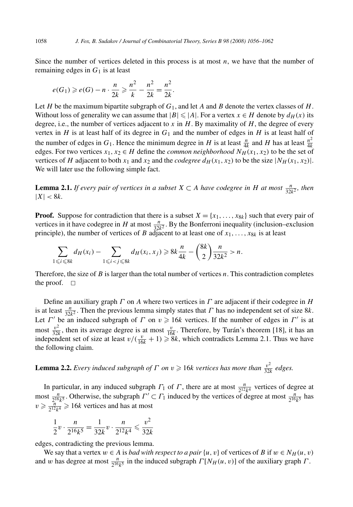Since the number of vertices deleted in this process is at most *n*, we have that the number of remaining edges in  $G_1$  is at least

$$
e(G_1) \geqslant e(G) - n \cdot \frac{n}{2k} \geqslant \frac{n^2}{k} - \frac{n^2}{2k} = \frac{n^2}{2k}.
$$

Let *H* be the maximum bipartite subgraph of *G*1, and let *A* and *B* denote the vertex classes of *H*. Without loss of generality we can assume that  $|B| \leq |A|$ . For a vertex  $x \in H$  denote by  $d_H(x)$  its degree, i.e., the number of vertices adjacent to *x* in *H*. By maximality of *H*, the degree of every vertex in *H* is at least half of its degree in  $G_1$  and the number of edges in *H* is at least half of the number of edges in  $G_1$ . Hence the minimum degree in *H* is at least  $\frac{n}{4k}$  and *H* has at least  $\frac{n^2}{4k}$ edges. For two vertices  $x_1, x_2 \in H$  define the *common neighborhood*  $N_H(x_1, x_2)$  to be the set of vertices of *H* adjacent to both  $x_1$  and  $x_2$  and the *codegree*  $d_H(x_1, x_2)$  to be the size  $|N_H(x_1, x_2)|$ . We will later use the following simple fact.

**Lemma 2.1.** *If every pair of vertices in a subset*  $X \subset A$  *have codegree in H at most*  $\frac{n}{32k^2}$ *, then*  $|X| < 8k$ .

**Proof.** Suppose for contradiction that there is a subset  $X = \{x_1, \ldots, x_{8k}\}\$  such that every pair of vertices in it have codegree in *H* at most  $\frac{n}{32k^2}$ . By the Bonferroni inequality (inclusion–exclusion principle), the number of vertices of *B* adjacent to at least one of  $x_1, \ldots, x_{8k}$  is at least

$$
\sum_{1 \leq i \leq 8k} d_H(x_i) - \sum_{1 \leq i < j \leq 8k} d_H(x_i, x_j) \geq 8k \frac{n}{4k} - \binom{8k}{2} \frac{n}{32k^2} > n.
$$

Therefore, the size of *B* is larger than the total number of vertices *n*. This contradiction completes the proof.  $\square$ 

Define an auxiliary graph *Γ* on *A* where two vertices in *Γ* are adjacent if their codegree in *H* is at least  $\frac{n}{32k^2}$ . Then the previous lemma simply states that *Γ* has no independent set of size 8*k*. Let *Γ'* be an induced subgraph of *Γ* on  $v \ge 16k$  vertices. If the number of edges in *Γ'* is at most  $\frac{v^2}{32k}$ , then its average degree is at most  $\frac{v}{16k}$ . Therefore, by Turán's theorem [18], it has an independent set of size at least  $v/(\frac{v}{16k} + 1) \ge 8k$ , which contradicts Lemma 2.1. Thus we have the following claim.

**Lemma 2.2.** *Every induced subgraph of*  $\Gamma$  *on*  $v \ge 16k$  *vertices has more than*  $\frac{v^2}{32k}$  *edges.* 

In particular, in any induced subgraph  $\Gamma_1$  of  $\Gamma$ , there are at most  $\frac{n}{2^{12}k^4}$  vertices of degree at most  $\frac{n}{2^{16}k^5}$ . Otherwise, the subgraph  $\Gamma' \subset \Gamma_1$  induced by the vertices of degree at most  $\frac{n}{2^{16}k^5}$  has  $v \ge \frac{n}{2^{12}k^4} \ge 16k$  vertices and has at most

$$
\frac{1}{2}\nu \cdot \frac{n}{2^{16}k^5} = \frac{1}{32k}\nu \cdot \frac{n}{2^{12}k^4} \leqslant \frac{\nu^2}{32k}
$$

edges, contradicting the previous lemma.

We say that a vertex  $w \in A$  is *bad with respect to a pair*  $\{u, v\}$  of vertices of *B* if  $w \in N_H(u, v)$ and *w* has degree at most  $\frac{n}{2^{16}k^5}$  in the induced subgraph  $\Gamma[N_H(u, v)]$  of the auxiliary graph  $\Gamma$ .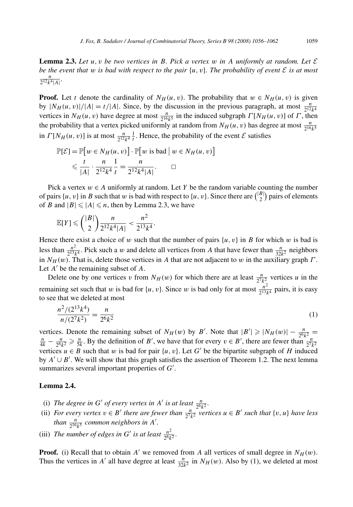**Lemma 2.3.** Let  $u, v$  be two vertices in B. Pick a vertex  $w$  in A uniformly at random. Let  $\mathcal{E}$ *be the event that w is bad with respect to the pair*  $\{u, v\}$ *. The probability of event*  $\mathcal{E}$  *is at most*  $\frac{n}{2^{12}k^4|A|}$ 

**Proof.** Let *t* denote the cardinality of  $N_H(u, v)$ . The probability that  $w \in N_H(u, v)$  is given by  $|N_H(u, v)|/|A| = t/|A|$ . Since, by the discussion in the previous paragraph, at most  $\frac{n}{2^{12}k^4}$ vertices in  $N_H(u, v)$  have degree at most  $\frac{n}{2^{16}k^5}$  in the induced subgraph  $\Gamma[N_H(u, v)]$  of  $\Gamma$ , then the probability that a vertex picked uniformly at random from  $N_H(u, v)$  has degree at most  $\frac{n}{2^{16}k^5}$ in  $\Gamma[N_H(u, v)]$  is at most  $\frac{n}{2^{12}k^4} \frac{1}{t}$ . Hence, the probability of the event  $\mathcal E$  satisfies

$$
\mathbb{P}[\mathcal{E}] = \mathbb{P}[w \in N_H(u, v)] \cdot \mathbb{P}[w \text{ is bad} \mid w \in N_H(u, v)]
$$
  
\$\leq \frac{t}{|A|} \cdot \frac{n}{2^{12}k^4} \cdot \frac{1}{t} = \frac{n}{2^{12}k^4|A|}. \square\$

Pick a vertex  $w \in A$  uniformly at random. Let *Y* be the random variable counting the number of pairs  $\{u, v\}$  in *B* such that *w* is bad with respect to  $\{u, v\}$ . Since there are  $\binom{|B|}{2}$  pairs of elements of *B* and  $|B| \le |A| \le n$ , then by Lemma 2.3, we have

$$
\mathbb{E}[Y] \leqslant {\binom{|B|}{2}} \frac{n}{2^{12}k^4|A|} < \frac{n^2}{2^{13}k^4}.
$$

Hence there exist a choice of *w* such that the number of pairs  $\{u, v\}$  in *B* for which *w* is bad is less than  $\frac{n^2}{2^{13}k^4}$ . Pick such a *w* and delete all vertices from *A* that have fewer than  $\frac{n}{32k^2}$  neighbors in *NH (w)*. That is, delete those vertices in *A* that are not adjacent to *w* in the auxiliary graph *Γ* . Let *A'* be the remaining subset of *A*.

Delete one by one vertices *v* from  $N_H(w)$  for which there are at least  $\frac{n}{2^7k_1^2}$  vertices *u* in the remaining set such that *w* is bad for  $\{u, v\}$ . Since *w* is bad only for at most  $\frac{n^2}{2^{13}k^4}$  pairs, it is easy to see that we deleted at most

$$
\frac{n^2/(2^{13}k^4)}{n/(2^7k^2)} = \frac{n}{2^6k^2}
$$
 (1)

vertices. Denote the remaining subset of  $N_H(w)$  by B'. Note that  $|B'| \ge |N_H(w)| - \frac{n}{2^6 k^2} = \frac{n}{4k} - \frac{n}{2^6 k^2} \ge \frac{n}{5k}$ . By the definition of B', we have that for every  $v \in B'$ , there are fewer than  $\frac{n}{2^7 k^2}$ vertices  $u \in B$  such that w is bad for pair  $\{u, v\}$ . Let G' be the bipartite subgraph of H induced by  $A' \cup B'$ . We will show that this graph satisfies the assertion of Theorem 1.2. The next lemma summarizes several important properties of G'.

## **Lemma 2.4.**

- (i) *The degree in G' of every vertex in A' is at least*  $\frac{n}{2^6k^2}$ *.*
- (ii) *For every vertex*  $v \in B'$  *there are fewer than*  $\frac{n}{2^7 k^2}$  *vertices*  $u \in B'$  *such that*  $\{v, u\}$  *have less than*  $\frac{n}{2^{16}k^5}$  *common neighbors in A'.*
- (iii) *The number of edges in G' is at least*  $\frac{n^2}{2^6 k^2}$ *.*

**Proof.** (i) Recall that to obtain  $A'$  we removed from A all vertices of small degree in  $N_H(w)$ . Thus the vertices in *A'* all have degree at least  $\frac{n}{32k^2}$  in *N<sub>H</sub>*(*w*). Also by (1), we deleted at most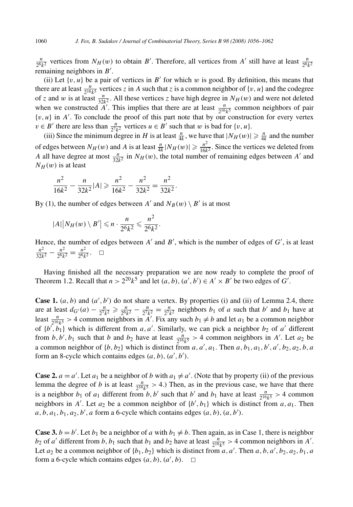$\frac{n}{2^6 k^2}$  vertices from *N<sub>H</sub>*(*w*) to obtain *B*<sup>'</sup>. Therefore, all vertices from *A*<sup>'</sup> still have at least  $\frac{n}{2^6 k^2}$ remaining neighbors in  $B'$ .

(ii) Let  $\{v, u\}$  be a pair of vertices in  $B'$  for which  $w$  is good. By definition, this means that there are at least  $\frac{n}{2^{16}k^5}$  vertices *z* in *A* such that *z* is a common neighbor of {*v, u*} and the codegree of *z* and *w* is at least  $\frac{n}{32k^2}$ . All these vertices *z* have high degree in  $N_H(w)$  and were not deleted when we constructed *A'*. This implies that there are at least  $\frac{n}{2^{16}k^5}$  common neighbors of pair  $\{v, u\}$  in  $A'$ . To conclude the proof of this part note that by our construction for every vertex  $v \in B'$  there are less than  $\frac{n}{2^7k^2}$  vertices  $u \in B'$  such that *w* is bad for {*v, u*}.

(iii) Since the minimum degree in *H* is at least  $\frac{n}{4k}$ , we have that  $|N_H(w)| \geq \frac{n}{4k}$  and the number of edges between  $N_H(w)$  and A is at least  $\frac{n}{4k} |N_H(w)| \geq \frac{n^2}{16k^2}$ . Since the vertices we deleted from *A* all have degree at most  $\frac{n}{32k^2}$  in  $N_H(w)$ , the total number of remaining edges between *A*<sup>-</sup> and  $N_H(w)$  is at least

$$
\frac{n^2}{16k^2} - \frac{n}{32k^2} |A| \geqslant \frac{n^2}{16k^2} - \frac{n^2}{32k^2} = \frac{n^2}{32k^2}.
$$

By (1), the number of edges between  $A'$  and  $N_B(w) \setminus B'$  is at most

$$
|A| |N_H(w) \setminus B'| \leqslant n \cdot \frac{n}{2^6 k^2} \leqslant \frac{n^2}{2^6 k^2}.
$$

Hence, the number of edges between  $A'$  and  $B'$ , which is the number of edges of  $G'$ , is at least  $\frac{n^2}{32k^2} - \frac{n^2}{2^6k^2} = \frac{n^2}{2^6k^2}$ .  $\Box$ 

Having finished all the necessary preparation we are now ready to complete the proof of Theorem 1.2. Recall that  $n > 2^{20}k^5$  and let  $(a, b)$ ,  $(a', b') \in A' \times B'$  be two edges of *G'*.

**Case 1.**  $(a, b)$  and  $(a', b')$  do not share a vertex. By properties (i) and (ii) of Lemma 2.4, there are at least  $d_{G'}(a) - \frac{n}{2^7 k^2} \ge \frac{n}{2^6 k^2} - \frac{n}{2^7 k^2} = \frac{n}{2^7 k^2}$  neighbors  $b_1$  of *a* such that  $b'$  and  $b_1$  have at least  $\frac{n}{2^{16}k^5} > 4$  common neighbors in *A'*. Fix any such  $b_1 \neq b$  and let  $a_1$  be a common neighbor of  $\{b', b_1\}$  which is different from *a, a'*. Similarly, we can pick a neighbor  $b_2$  of *a'* different from *b*, *b'*, *b*<sub>1</sub> such that *b* and *b*<sub>2</sub> have at least  $\frac{n}{2^{16}k^5} > 4$  common neighbors in *A'*. Let *a*<sub>2</sub> be a common neighbor of  $\{b, b_2\}$  which is distinct from *a*, *a'*, *a*<sub>1</sub>. Then *a*, *b*<sub>1</sub>, *a*<sub>1</sub>, *b'*, *a'*, *b*<sub>2</sub>, *a*<sub>2</sub>, *b*, *a* form an 8-cycle which contains edges  $(a, b)$ ,  $(a', b')$ .

**Case 2.**  $a = a'$ . Let  $a_1$  be a neighbor of *b* with  $a_1 \neq a'$ . (Note that by property (ii) of the previous lemma the degree of *b* is at least  $\frac{n}{2^{16}k^5} > 4$ .) Then, as in the previous case, we have that there is a neighbor  $b_1$  of  $a_1$  different from  $b, b'$  such that  $b'$  and  $b_1$  have at least  $\frac{n}{2^{16}k^5} > 4$  common neighbors in *A'*. Let  $a_2$  be a common neighbor of  $\{b', b_1\}$  which is distinct from  $a, a_1$ . Then  $a, b, a_1, b_1, a_2, b', a$  form a 6-cycle which contains edges  $(a, b), (a, b').$ 

**Case 3.**  $b = b'$ . Let  $b_1$  be a neighbor of *a* with  $b_1 \neq b$ . Then again, as in Case 1, there is neighbor *b*<sub>2</sub> of *a*<sup> $\prime$ </sup> different from *b*, *b*<sub>1</sub> such that *b*<sub>1</sub> and *b*<sub>2</sub> have at least  $\frac{n}{2^{16}k^5}$  > 4 common neighbors in *A*<sup> $\prime$ </sup>. Let  $a_2$  be a common neighbor of  $\{b_1, b_2\}$  which is distinct from  $a, a'$ . Then  $a, b, a', b_2, a_2, b_1, a$ form a 6-cycle which contains edges  $(a, b)$ ,  $(a', b)$ .  $\Box$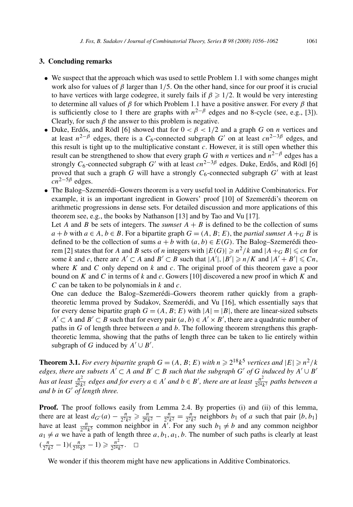#### **3. Concluding remarks**

- We suspect that the approach which was used to settle Problem 1.1 with some changes might work also for values of *β* larger than 1*/*5. On the other hand, since for our proof it is crucial to have vertices with large codegree, it surely fails if  $\beta \geq 1/2$ . It would be very interesting to determine all values of *β* for which Problem 1.1 have a positive answer. For every *β* that is sufficiently close to 1 there are graphs with  $n^{2-\beta}$  edges and no 8-cycle (see, e.g., [3]). Clearly, for such  $\beta$  the answer to this problem is negative.
- Duke, Erdős, and Rödl [6] showed that for  $0 < \beta < 1/2$  and a graph *G* on *n* vertices and at least  $n^{2-\beta}$  edges, there is a  $C_6$ -connected subgraph  $G'$  on at least  $cn^{2-3\beta}$  edges, and this result is tight up to the multiplicative constant *c*. However, it is still open whether this result can be strengthened to show that every graph *G* with *n* vertices and  $n^{2-\beta}$  edges has a strongly  $C_6$ -connected subgraph  $G'$  with at least  $cn^{2-3\beta}$  edges. Duke, Erdős, and Rödl [6] proved that such a graph  $G$  will have a strongly  $C_6$ -connected subgraph  $G'$  with at least  $cn^{2-5\beta}$  edges.
- The Balog–Szemerédi–Gowers theorem is a very useful tool in Additive Combinatorics. For example, it is an important ingredient in Gowers' proof [10] of Szemerédi's theorem on arithmetic progressions in dense sets. For detailed discussion and more applications of this theorem see, e.g., the books by Nathanson [13] and by Tao and Vu [17].

Let *A* and *B* be sets of integers. The *sumset*  $A + B$  is defined to be the collection of sums  $a + b$  with  $a \in A$ ,  $b \in B$ . For a bipartite graph  $G = (A, B; E)$ , the *partial sumset*  $A +_{G} B$  is defined to be the collection of sums  $a + b$  with  $(a, b) \in E(G)$ . The Balog–Szemerédi theorem [2] states that for *A* and *B* sets of *n* integers with  $|E(G)| \ge n^2/k$  and  $|A| + |G| \le cn$  for some *k* and *c*, there are  $A' \subset A$  and  $B' \subset B$  such that  $|A'|, |B'| \ge n/K$  and  $|A' + B'| \le Cn$ , where *K* and *C* only depend on *k* and *c*. The original proof of this theorem gave a poor bound on *K* and *C* in terms of *k* and *c*. Gowers [10] discovered a new proof in which *K* and *C* can be taken to be polynomials in *k* and *c*.

One can deduce the Balog–Szemerédi–Gowers theorem rather quickly from a graphtheoretic lemma proved by Sudakov, Szemerédi, and Vu [16], which essentially says that for every dense bipartite graph  $G = (A, B; E)$  with  $|A| = |B|$ , there are linear-sized subsets *A*<sup> $\prime$ </sup>  $\subset$  *A* and *B*<sup> $\prime$ </sup>  $\subset$  *B* such that for every pair  $(a, b) \in A' \times B'$ , there are a quadratic number of paths in *G* of length three between *a* and *b*. The following theorem strengthens this graphtheoretic lemma, showing that the paths of length three can be taken to lie entirely within subgraph of *G* induced by  $A' \cup B'$ .

**Theorem 3.1.** *For every bipartite graph*  $G = (A, B; E)$  *with*  $n \ge 2^{18}k^5$  *vertices and*  $|E| \ge n^2/k$ edges, there are subsets  $A' \subset A$  and  $B' \subset B$  such that the subgraph  $G'$  of  $G$  induced by  $A' \cup B'$ <br>has at least  $\frac{n^2}{2^6k^2}$  edges and for every  $a \in A'$  and  $b \in B'$ , there are at least  $\frac{n^2}{2^{24}k^7}$  paths between *and b in G*- *of length three.*

**Proof.** The proof follows easily from Lemma 2.4. By properties (i) and (ii) of this lemma, there are at least  $d_{G'}(a) - \frac{n}{2^7 k^2} \ge \frac{n}{2^6 k^2} - \frac{n}{2^7 k^2} = \frac{n}{2^7 k^2}$  neighbors *b*<sub>1</sub> of *a* such that pair {*b, b*<sub>1</sub>} have at least  $\frac{n}{2^{16}k^5}$  common neighbor in *A'*. For any such  $b_1 \neq b$  and any common neighbor  $a_1 \neq a$  we have a path of length three *a*,  $b_1$ ,  $a_1$ ,  $b$ . The number of such paths is clearly at least  $(\frac{n}{2^7k^2} - 1)(\frac{n}{2^{16}k^5} - 1) \geq \frac{n^2}{2^{24}k^7}$ .  $\Box$ 

We wonder if this theorem might have new applications in Additive Combinatorics.